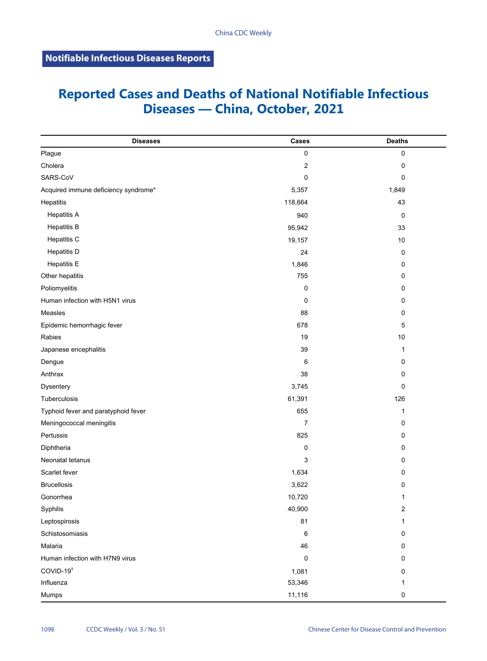## **Reported Cases and Deaths of National Notifiable Infectious Diseases — China, October, 2021**

| <b>Diseases</b>                      | Cases          | <b>Deaths</b>  |
|--------------------------------------|----------------|----------------|
| Plague                               | $\pmb{0}$      | $\pmb{0}$      |
| Cholera                              | $\overline{c}$ | 0              |
| SARS-CoV                             | $\pmb{0}$      | 0              |
| Acquired immune deficiency syndrome* | 5,357          | 1,849          |
| Hepatitis                            | 118,664        | 43             |
| <b>Hepatitis A</b>                   | 940            | $\mathbf 0$    |
| <b>Hepatitis B</b>                   | 95,942         | 33             |
| Hepatitis C                          | 19,157         | 10             |
| <b>Hepatitis D</b>                   | 24             | $\mathbf 0$    |
| <b>Hepatitis E</b>                   | 1,846          | 0              |
| Other hepatitis                      | 755            | 0              |
| Poliomyelitis                        | 0              | 0              |
| Human infection with H5N1 virus      | 0              | 0              |
| Measles                              | 88             | 0              |
| Epidemic hemorrhagic fever           | 678            | 5              |
| Rabies                               | 19             | 10             |
| Japanese encephalitis                | 39             | 1              |
| Dengue                               | 6              | 0              |
| Anthrax                              | 38             | 0              |
| Dysentery                            | 3,745          | 0              |
| Tuberculosis                         | 61,391         | 126            |
| Typhoid fever and paratyphoid fever  | 655            | 1              |
| Meningococcal meningitis             | 7              | 0              |
| Pertussis                            | 825            | 0              |
| Diphtheria                           | 0              | 0              |
| Neonatal tetanus                     | 3              | 0              |
| Scarlet fever                        | 1,634          | 0              |
| <b>Brucellosis</b>                   | 3,622          | 0              |
| Gonorrhea                            | 10,720         | 1              |
| Syphilis                             | 40,900         | $\overline{c}$ |
| Leptospirosis                        | 81             | 1              |
| Schistosomiasis                      | 6              | $\mathbf 0$    |
| Malaria                              | 46             | 0              |
| Human infection with H7N9 virus      | 0              | 0              |
| COVID-19 <sup>t</sup>                | 1,081          | 0              |
| Influenza                            | 53,346         | 1              |
| Mumps                                | 11,116         | 0              |